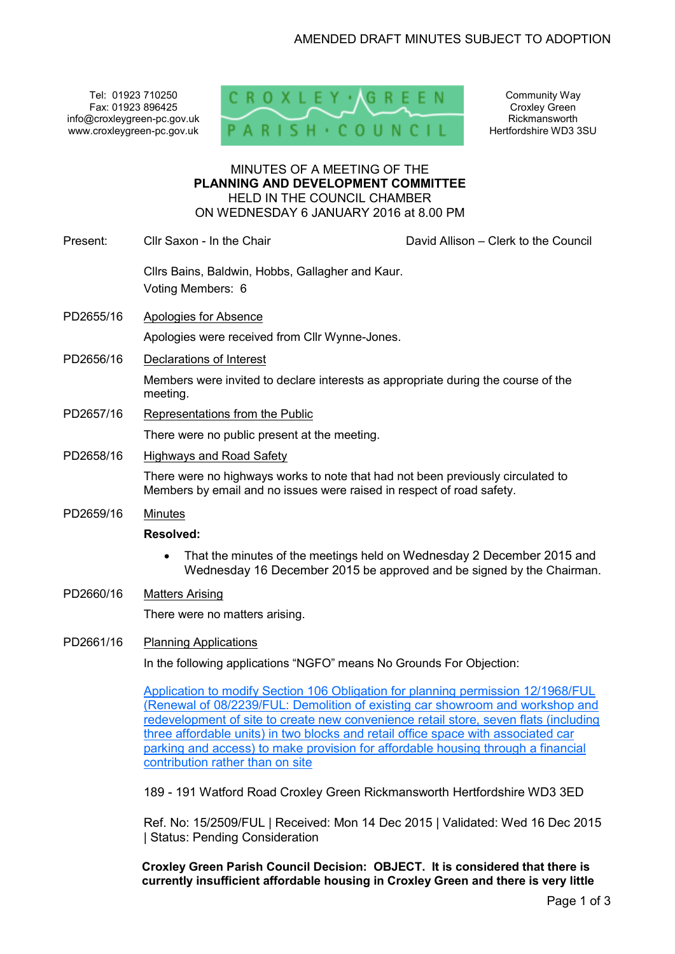Tel: 01923 710250 Fax: 01923 896425 info@croxleygreen-pc.gov.uk www.croxleygreen-pc.gov.uk



Community Way Croxley Green Rickmansworth Hertfordshire WD3 3SU

### MINUTES OF A MEETING OF THE **PLANNING AND DEVELOPMENT COMMITTEE** HELD IN THE COUNCIL CHAMBER ON WEDNESDAY 6 JANUARY 2016 at 8.00 PM

| Present:  | Cllr Saxon - In the Chair                                                                                                                                                                                                                                                                                                                                                                                                                                              | David Allison - Clerk to the Council |
|-----------|------------------------------------------------------------------------------------------------------------------------------------------------------------------------------------------------------------------------------------------------------------------------------------------------------------------------------------------------------------------------------------------------------------------------------------------------------------------------|--------------------------------------|
|           | Cllrs Bains, Baldwin, Hobbs, Gallagher and Kaur.<br>Voting Members: 6                                                                                                                                                                                                                                                                                                                                                                                                  |                                      |
| PD2655/16 | <b>Apologies for Absence</b>                                                                                                                                                                                                                                                                                                                                                                                                                                           |                                      |
|           | Apologies were received from Cllr Wynne-Jones.                                                                                                                                                                                                                                                                                                                                                                                                                         |                                      |
| PD2656/16 | Declarations of Interest                                                                                                                                                                                                                                                                                                                                                                                                                                               |                                      |
|           | Members were invited to declare interests as appropriate during the course of the<br>meeting.                                                                                                                                                                                                                                                                                                                                                                          |                                      |
| PD2657/16 | Representations from the Public                                                                                                                                                                                                                                                                                                                                                                                                                                        |                                      |
|           | There were no public present at the meeting.                                                                                                                                                                                                                                                                                                                                                                                                                           |                                      |
| PD2658/16 | <b>Highways and Road Safety</b>                                                                                                                                                                                                                                                                                                                                                                                                                                        |                                      |
|           | There were no highways works to note that had not been previously circulated to<br>Members by email and no issues were raised in respect of road safety.                                                                                                                                                                                                                                                                                                               |                                      |
| PD2659/16 | <b>Minutes</b>                                                                                                                                                                                                                                                                                                                                                                                                                                                         |                                      |
|           | <b>Resolved:</b>                                                                                                                                                                                                                                                                                                                                                                                                                                                       |                                      |
|           | That the minutes of the meetings held on Wednesday 2 December 2015 and<br>$\bullet$<br>Wednesday 16 December 2015 be approved and be signed by the Chairman.                                                                                                                                                                                                                                                                                                           |                                      |
| PD2660/16 | <b>Matters Arising</b>                                                                                                                                                                                                                                                                                                                                                                                                                                                 |                                      |
|           | There were no matters arising.                                                                                                                                                                                                                                                                                                                                                                                                                                         |                                      |
| PD2661/16 | <b>Planning Applications</b>                                                                                                                                                                                                                                                                                                                                                                                                                                           |                                      |
|           | In the following applications "NGFO" means No Grounds For Objection:                                                                                                                                                                                                                                                                                                                                                                                                   |                                      |
|           | Application to modify Section 106 Obligation for planning permission 12/1968/FUL<br>(Renewal of 08/2239/FUL: Demolition of existing car showroom and workshop and<br>redevelopment of site to create new convenience retail store, seven flats (including<br>three affordable units) in two blocks and retail office space with associated car<br>parking and access) to make provision for affordable housing through a financial<br>contribution rather than on site |                                      |
|           |                                                                                                                                                                                                                                                                                                                                                                                                                                                                        |                                      |

189 - 191 Watford Road Croxley Green Rickmansworth Hertfordshire WD3 3ED

Ref. No: 15/2509/FUL | Received: Mon 14 Dec 2015 | Validated: Wed 16 Dec 2015 | Status: Pending Consideration

**Croxley Green Parish Council Decision: OBJECT. It is considered that there is currently insufficient affordable housing in Croxley Green and there is very little**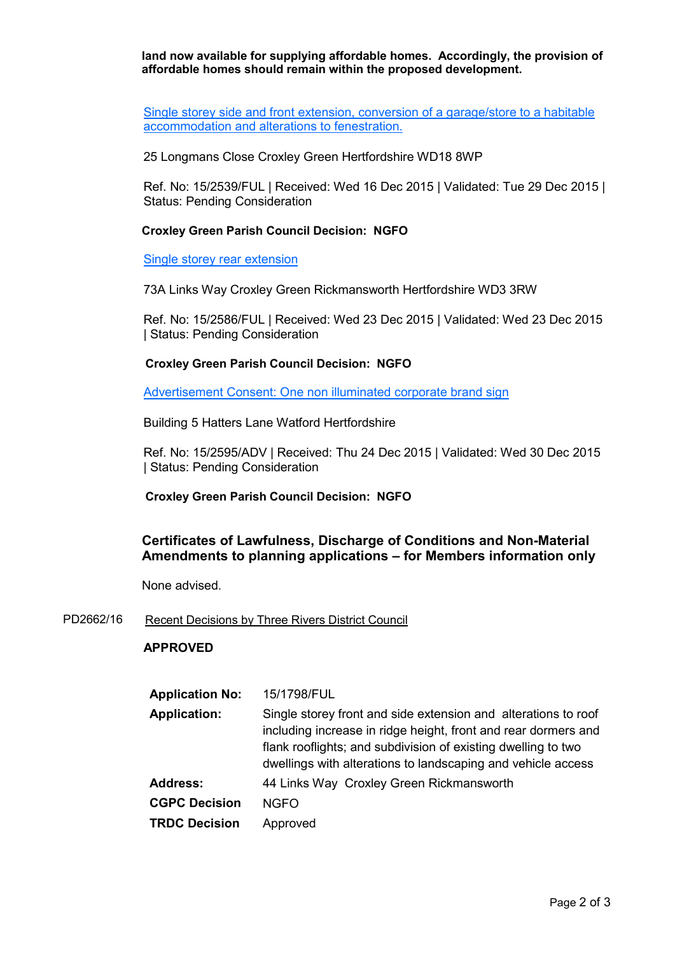**land now available for supplying affordable homes. Accordingly, the provision of affordable homes should remain within the proposed development.** 

Single storey side and front extension, conversion of a garage/store to a habitable accommodation and alterations to fenestration.

25 Longmans Close Croxley Green Hertfordshire WD18 8WP

Ref. No: 15/2539/FUL | Received: Wed 16 Dec 2015 | Validated: Tue 29 Dec 2015 | Status: Pending Consideration

### **Croxley Green Parish Council Decision: NGFO**

Single storey rear extension

73A Links Way Croxley Green Rickmansworth Hertfordshire WD3 3RW

Ref. No: 15/2586/FUL | Received: Wed 23 Dec 2015 | Validated: Wed 23 Dec 2015 | Status: Pending Consideration

#### **Croxley Green Parish Council Decision: NGFO**

Advertisement Consent: One non illuminated corporate brand sign

Building 5 Hatters Lane Watford Hertfordshire

Ref. No: 15/2595/ADV | Received: Thu 24 Dec 2015 | Validated: Wed 30 Dec 2015 | Status: Pending Consideration

## **Croxley Green Parish Council Decision: NGFO**

# **Certificates of Lawfulness, Discharge of Conditions and Non-Material Amendments to planning applications – for Members information only**

None advised.

PD2662/16 Recent Decisions by Three Rivers District Council

#### **APPROVED**

| <b>Application No:</b> | 15/1798/FUL                                                                                                                                                                                                                                                       |
|------------------------|-------------------------------------------------------------------------------------------------------------------------------------------------------------------------------------------------------------------------------------------------------------------|
| <b>Application:</b>    | Single storey front and side extension and alterations to roof<br>including increase in ridge height, front and rear dormers and<br>flank rooflights; and subdivision of existing dwelling to two<br>dwellings with alterations to landscaping and vehicle access |
| <b>Address:</b>        | 44 Links Way Croxley Green Rickmansworth                                                                                                                                                                                                                          |
| <b>CGPC Decision</b>   | <b>NGFO</b>                                                                                                                                                                                                                                                       |
| <b>TRDC Decision</b>   | Approved                                                                                                                                                                                                                                                          |